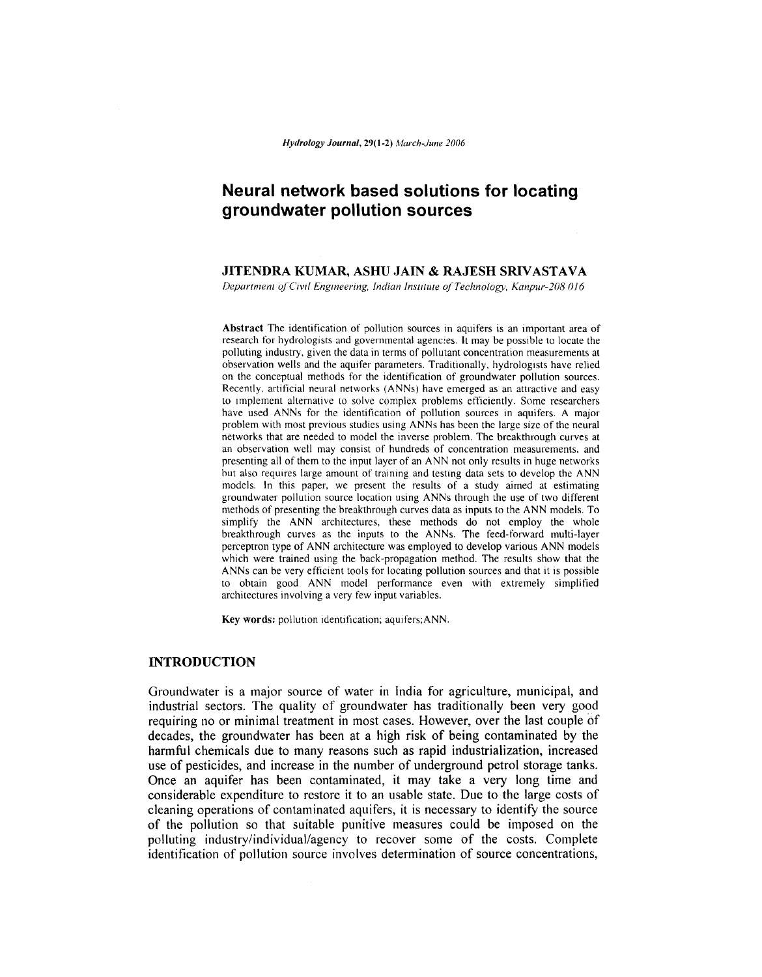# **Neural network based solutions for locating groundwater pollution sources**

# **JITENDRA KUMAR, ASHU JAIN & RAJESH SRIVASTA**VA

*Department* QfOvrl *Engineering, Indian Institute ofTechnology, Kanpur-208016*

Abstract The identification of pollution sources in aquifers is an important area of research for hydrologists and governmental agenc:es. It may be possible to locate the polluting industry. given the data in terms of pollutant concentration measurements at observation wells and the aquifer parameters. Traditionally, hydrologists have relied on the conceptual methods for the identification of groundwater pollution sources. Recently, artificial neural networks (ANNs) have emerged as an attractive and easy to Implement alternative to solve complex problems efficiently. Some researchers have used ANNs for the identification of pollution sources in aquifers. A major problem with most previous studies using ANNs has been the large size of the neural networks that are needed to model the inverse problem. The breakthrough curves at an observation well may consist of hundreds of concentration measurements. and presenting all of them to the input layer of an ANN not only results in huge networks but also requires large amount of training and testing data sets to develop the ANN models. In this paper, we present the results of a study aimed at estimating groundwater pollution source location using ANNs through the use of two different methods of presenting the breakthrough curves data as inputs to the ANN models. To simplify the ANN architectures. these methods do not employ the whole breakthrough curves as the inputs to the ANNs. The feed-forward multi-layer perceptron type of ANN architecture was employed to develop various ANN models which were trained using the back-propagation method. The results show that the ANNs can be very efficient tools for locating pollution sources and that it is possible to obtain good ANN model performance even with extremely simplified architectures involving a very few input variables.

Key words: pollution identification; aquifers;ANN.

# **INTRODUCTION**

Groundwater is a major source of water in India for agriculture, municipal, and industrial sectors. The quality of groundwater has traditionally been very good requiring no or minimal treatment in most cases. However, over the last couple 6f decades, the groundwater has been at a high risk of being contaminated by the harmful chemicals due to many reasons such as rapid industrialization, increased use of pesticides, and increase in the number of underground petrol storage tanks. Once an aquifer has been contaminated, it may take a very long time and considerable expenditure to restore it to an usable state. Due to the large costs of cleaning operations of contaminated aquifers, it is necessary to identify the source of the pollution so that suitable punitive measures could be imposed on the polluting industry/individual/agency to recover some of the costs. Complete identification of pollution source involves determination of source concentrations,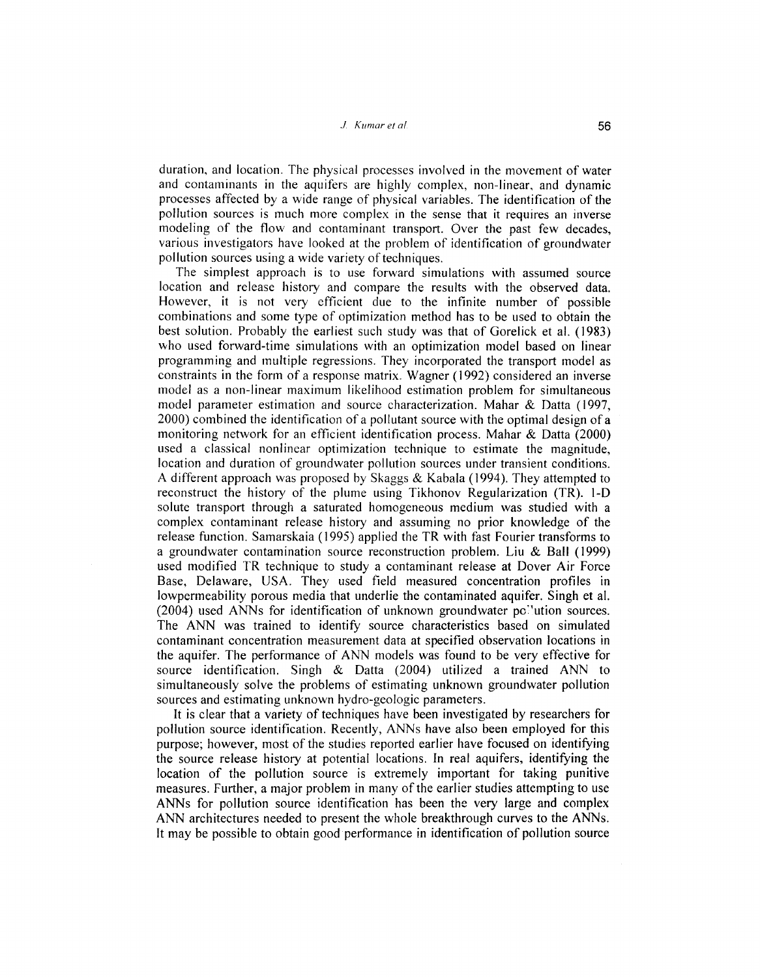duration, and location. The physical processes involved in the movement of water and contaminants in the aquifers are highly complex, non-linear, and dynamic processes affected by a wide range of physical variables. The identification of the pollution sources is much more complex in the sense that it requires an inverse modeling of the flow and contaminant transport. Over the past few decades, various investigators have looked at the problem of identification of groundwater pollution sources using a wide variety of techniques.

The simplest approach is to use forward simulations with assumed source location and release history and compare the results with the observed data. However, it is not very efficient due to the infinite number of possible combinations and some type of optimization method has to be used to obtain the best solution. Probably the earliest such study was that of Gorelick et al. (1983) who used forward-time simulations with an optimization model based on linear programming and multiple regressions. They incorporated the transport model as constraints in the form of a response matrix. Wagner (1992) considered an inverse model as a non-linear maximum likelihood estimation problem for simultaneous model parameter estimation and source characterization. Mahar & Datta (1997, 2000) combined the identification of a pollutant source with the optimal design of a monitoring network for an efficient identification process. Mahar & Datta (2000) used a classical nonlinear optimization technique to estimate the magnitude, location and duration of groundwater pollution sources under transient conditions. A different approach was proposed by Skaggs & Kabala (1994). They attempted to reconstruct the history of the plume using Tikhonov Regularization (TR). 1-0 solute transport through a saturated homogeneous medium was studied with a complex contaminant release history and assuming no prior knowledge of the release function. Samarskaia (1995) applied the TR with fast Fourier transforms to a groundwater contamination source reconstruction problem. Liu & Ball (1999) used modified TR technique to study a contaminant release at Dover Air Force Base, Delaware, USA. They used field measured concentration profiles in lowpermeability porous media that underlie the contaminated aquifer. Singh et al. (2004) used ANNs for identification of unknown groundwater pc:'ution sources. The ANN was trained to identify source characteristics based on simulated contaminant concentration measurement data at specified observation locations in the aquifer. The performance of ANN models was found to be very effective for source identification. Singh & Datta (2004) utilized a trained ANN to simultaneously solve the problems of estimating unknown groundwater pollution sources and estimating unknown hydro-geologic parameters.

It is clear that a variety of techniques have been investigated by researchers for pollution source identification. Recently, ANNs have also been employed for this purpose; however, most of the studies reported earlier have focused on identifying the source release history at potential locations. In real aquifers, identifying the location of the pollution source is extremely important for taking punitive measures. Further, a major problem in many of the earlier studies attempting to use ANNs for pollution source identification has been the very large and complex ANN architectures needed to present the whole breakthrough curves to the ANNs. It may be possible to obtain good performance in identification of pollution source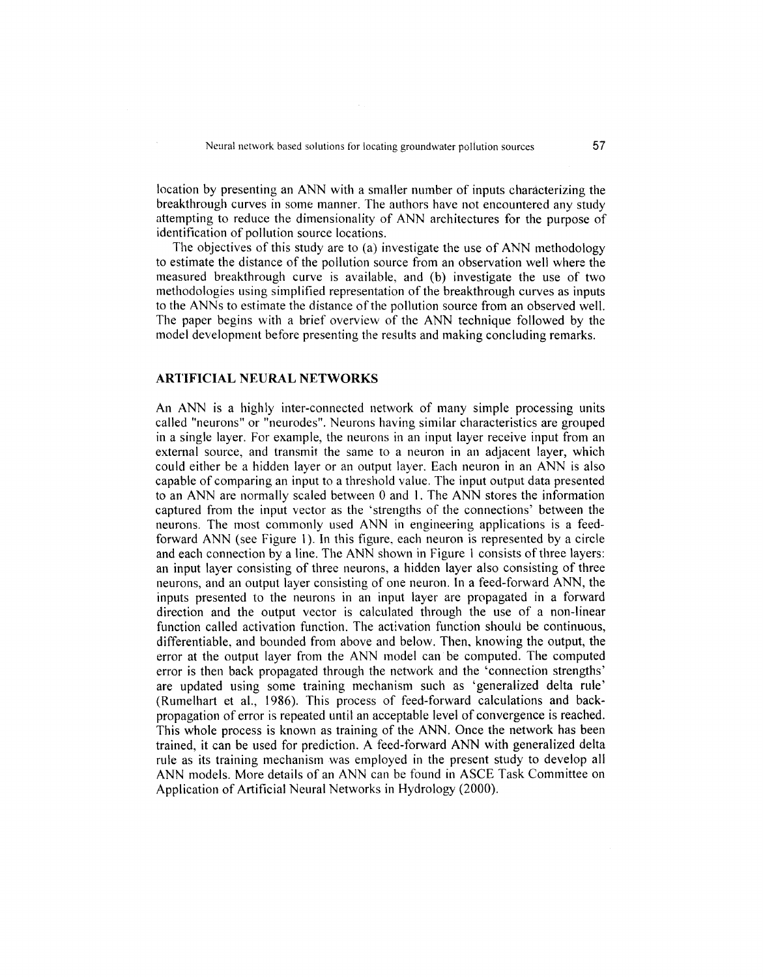location by presenting an ANN with a smaller number of inputs characterizing the breakthrough curves in some manner. The authors have not encountered any study attempting to reduce the dimensionality of ANN architectures for the purpose of identification of pollution source locations.

The objectives of this study are to (a) investigate the use of ANN methodology to estimate the distance of the pollution source from an observation well where the measured breakthrough curve is available, and (b) investigate the use of two methodologies using simplified representation of the breakthrough curves as inputs to the ANNs to estimate the distance of the pollution source from an observed well. The paper begins with a brief overview of the ANN technique followed by the model development before presenting the results and making concluding remarks.

# **ARTIFICIAL NEURAL NETWORKS**

An ANN is a highly inter-connected network of many simple processing units called "neurons" or "neurodes". Neurons having similar characteristics are grouped in a single layer. For example, the neurons in an input layer receive input from an external source, and transmit the same to a neuron in an adjacent layer, which could either be a hidden layer or an output layer. Each neuron in an ANN is also capable of comparing an input to a threshold value. The input output data presented to an ANN are normally scaled between 0 and 1. The ANN stores the information captured from the input vector as the 'strengths of the connections' between the neurons. The most commonly used ANN in engineering applications is a feedforward ANN (see Figure 1). In this figure, each neuron is represented by a circle and each connection by a line. The ANN shown in Figure 1 consists of three layers: an input layer consisting of three neurons, a hidden layer also consisting of three neurons, and an output layer consisting of one neuron. In a feed-forward ANN, the inputs presented to the neurons in an input layer are propagated in a forward direction and the output vector is calculated through the use of a non-linear function called activation function. The activation function should be continuous, differentiable, and bounded from above and below. Then, knowing the output, the error at the output layer from the ANN model can be computed. The computed error is then back propagated through the network and the 'connection strengths' are updated using some training mechanism such as 'generalized delta rule' (Rumelhart et al., 1986). This process of feed-forward calculations and backpropagation of error is repeated until an acceptable level of convergence is reached. This whole process is known as training of the ANN. Once the network has been trained, it can be used for prediction. A feed-forward ANN with generalized delta rule as its training mechanism was employed in the present study to develop all ANN models. More details of an ANN can be found in ASCE Task Committee on Application of Artificial Neural Networks in Hydrology (2000).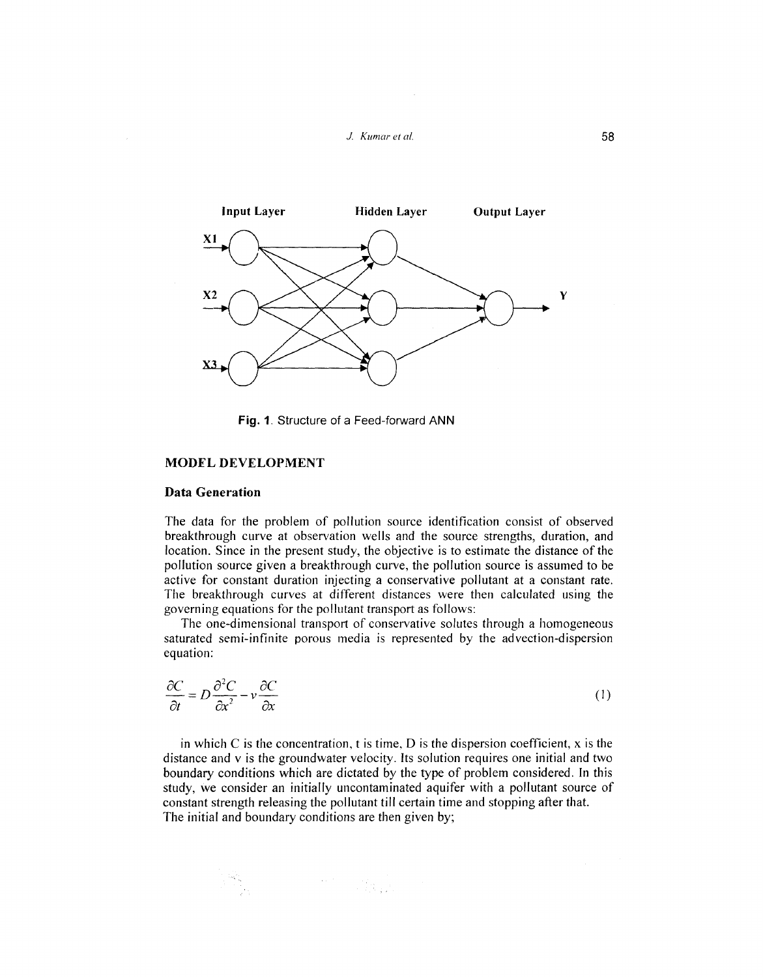



Fig. 1. Structure of a Feed-forward ANN

# MODEL DEVELOPMENT

#### Data Generation

The data for the problem of pollution source identification consist of observed breakthrough curve at observation wells and the source strengths, duration, and location. Since in the present study, the objective is to estimate the distance of the pollution source given a breakthrough curve, the pollution source is assumed to be active for constant duration injecting a conservative pollutant at a constant rate. The breakthrough curves at different distances were then calculated using the governing equations for the pollutant transport as follows:

The one-dimensional transport of conservative solutes through a homogeneous saturated semi-infinite porous media is represented by the advection-dispersion equation:

$$
\frac{\partial C}{\partial t} = D \frac{\partial^2 C}{\partial x^2} - v \frac{\partial C}{\partial x}
$$
 (1)

in which C is the concentration, t is time, D is the dispersion coefficient,  $x$  is the distance and v is the groundwater velocity. Its solution requires one initial and two boundary conditions which are dictated by the type of problem considered. In this study, we consider an initially uncontaminated aquifer with a pollutant source of constant strength releasing the pollutant till certain time and stopping after that. The initial and boundary conditions are then given by;

 $\label{eq:2} \begin{split} \mathcal{L}_{\text{max}}(\mathbf{X},\mathbf{X}) = \mathcal{L}_{\text{max}}(\mathbf{X},\mathbf{X}) \mathcal{L}_{\text{max}}(\mathbf{X}) \end{split}$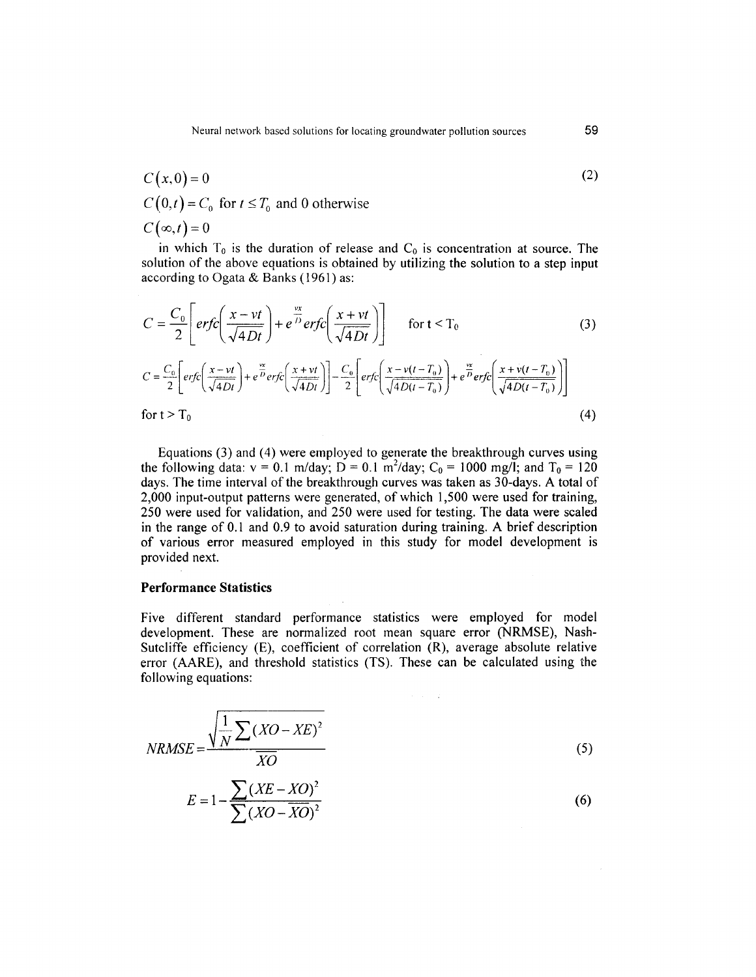$$
C(x, 0) = 0
$$
  
C(0,t) = C<sub>0</sub> for  $t \le T_0$  and 0 otherwise  

$$
C(\infty, t) = 0
$$

in which  $T_0$  is the duration of release and  $C_0$  is concentration at source. The solution of the above equations is obtained by utilizing the solution to a step input according to Ogata & Banks (1961) as:

$$
C = \frac{C_0}{2} \left[ erfc\left(\frac{x - vt}{\sqrt{4Dt}}\right) + e^{\frac{vx}{D}} erfc\left(\frac{x + vt}{\sqrt{4Dt}}\right) \right] \quad \text{for } t < T_0
$$
\n
$$
C = \frac{C_0}{2} \left[ erfc\left(\frac{x - vt}{\sqrt{4Dt}}\right) + e^{\frac{vx}{D}} erfc\left(\frac{x + vt}{\sqrt{4Dt}}\right) \right] - \frac{C_0}{2} \left[ erfc\left(\frac{x - v(t - T_0)}{\sqrt{4D(t - T_0)}}\right) + e^{\frac{vx}{D}} erfc\left(\frac{x + v(t - T_0)}{\sqrt{4D(t - T_0)}}\right) \right]
$$
\nfor  $t > T_0$  (4)

Equations (3) and (4) were employed to generate the breakthrough curves using the following data:  $v = 0.1$  m/day;  $D = 0.1$  m<sup>2</sup>/day;  $C_0 = 1000$  mg/l; and  $T_0 = 120$ days. The time interval of the breakthrough curves was taken as  $3\overline{0}$ -days. A total of 2,000 input-output patterns were generated, of which 1,500 were used for training, 250 were used for validation, and 250 were used for testing. The data were scaled in the range of 0.1 and 0.9 to avoid saturation during training. A brief description of various error measured employed in this study for model development is provided next.

# **Performance Statistics**

Five different standard performance statistics were employed for model development. These are normalized root mean square error (NRMSE), Nash-Sutcliffe efficiency (E), coefficient of correlation (R), average absolute relative error (AARE), and threshold statistics (TS). These can be calculated using the following equations:

$$
NRMSE = \frac{\sqrt{\frac{1}{N} \sum (XO - XE)^2}}{\overline{XO}}
$$
\n
$$
E = 1 - \frac{\sum (XE - XO)^2}{\sum (XO - \overline{XO})^2}
$$
\n(6)

(2)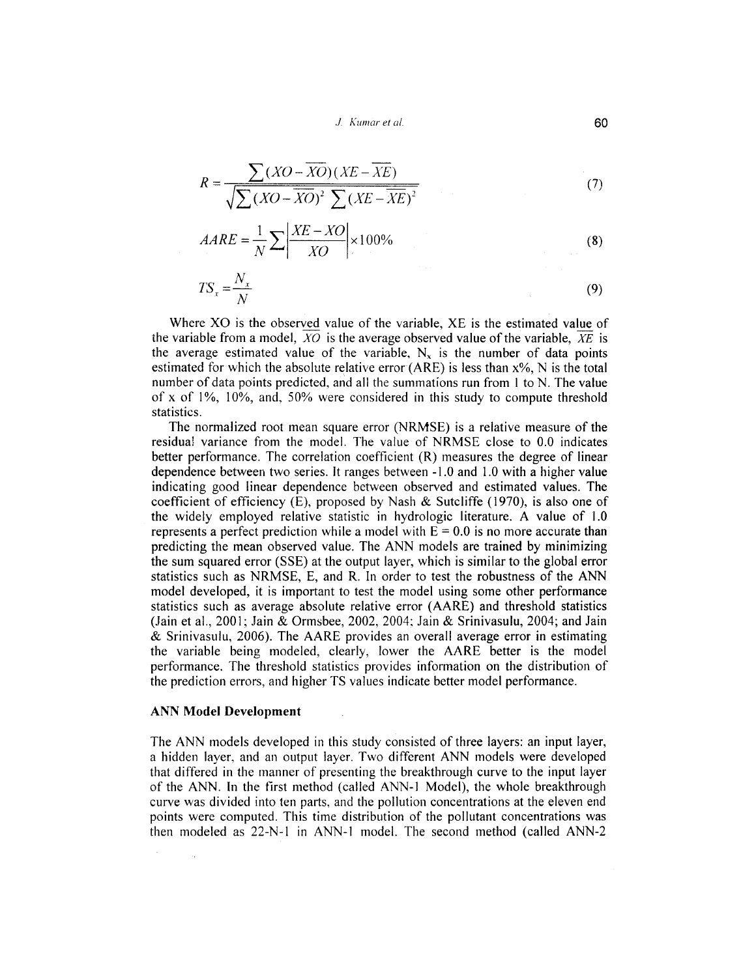.J. *Kumar et al.*

$$
R = \frac{\sum (XO - \overline{XO})(XE - \overline{XE})}{\sqrt{\sum (XO - \overline{XO})^2 \sum (XE - \overline{XE})^2}}
$$
(7)

$$
AARE = \frac{1}{N} \sum \left| \frac{XE - XO}{XO} \right| \times 100\%
$$
 (8)

$$
TS_x = \frac{N_x}{N}
$$
 (9)

Where XO is the observed value of the variable, XE is the estimated value of the variable from a model,  $XO$  is the average observed value of the variable,  $XE$  is the average estimated value of the variable,  $N_x$  is the number of data points estimated for which the absolute relative error (ARE) is less than x%, N is the total number of data points predicted, and all the summations run from I to N. The value of x of I%, 10%, and, 50% were considered in this study to compute threshold statistics.

The normalized root mean square error (NRMSE) is a relative measure of the residual variance from the model. The value of NRMSE close to 0.0 indicates better performance. The correlation coefficient (R) measures the degree of linear dependence between two series. It ranges between -1.0 and 1.0 with a higher value indicating good linear dependence between observed and estimated values. The coefficient of efficiency (E), proposed by Nash & Sutcliffe (1970), is also one of the widely employed relative statistic in hydrologic literature. A value of 1.0 represents a perfect prediction while a model with  $E = 0.0$  is no more accurate than predicting the mean observed value. The ANN models are trained by minimizing the sum squared error (SSE) at the output layer, which is similar to the global error statistics such as NRMSE, E, and R. In order to test the robustness of the ANN model developed, it is important to test the model using some other performance statistics such as average absolute relative error (AARE) and threshold statistics (Jain et aI., 2001; Jain & Ormsbee, 2002, 2004; Jain & Srinivasulu, 2004; and Jain & Srinivasulu, 2006). The AARE provides an overall average error in estimating the variable being modeled, clearly, lower the AARE better is the model performance. The threshold statistics provides information on the distribution of the prediction errors, and higher TS values indicate better model performance.

#### ANN Model Development

The ANN models developed in this study consisted of three layers: an input layer, a hidden layer, and an output layer. Two different ANN models were developed that differed in the manner of presenting the breakthrough curve to the input layer of the ANN. In the first method (called ANN-l Model), the whole breakthrough curve was divided into ten parts, and the pollution concentrations at the eleven end points were computed. This time distribution of the pollutant concentrations was then modeled as 22-N-l in ANN-l model. The second method (called ANN-2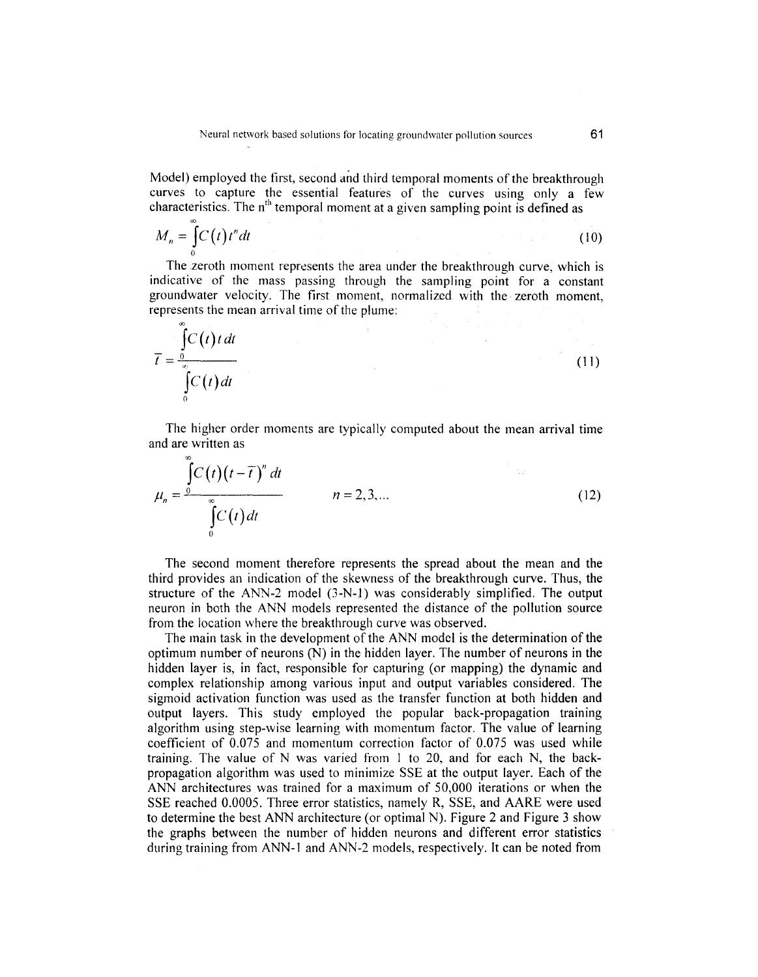Model) employed the first, second and third temporal moments of the breakthrough curves to capture the essential features of the curves using only a few characteristics. The  $n<sup>th</sup>$  temporal moment at a given sampling point is defined as

$$
M_n = \int_0^\infty C(t) t^n dt
$$
 (10)

The zeroth moment represents the area under the breakthrough curve, which is indicative of the mass passing through the sampling point for a constant groundwater velocity. The first moment, normalized with the· zeroth moment, represents the mean arrival time of the plume:

$$
\overline{t} = \frac{\int_{0}^{\infty} C(t) t dt}{\int_{0}^{\infty} C(t) dt}
$$
\n(11)

The higher order moments are typically computed about the mean arrival time and are written as

$$
\mu_n = \frac{\int_{0}^{\infty} C(t)(t - \overline{t})^n dt}{\int_{0}^{\infty} C(t) dt}
$$
   
  $n = 2, 3, ...$  (12)

The second moment therefore represents the spread about the mean and the third provides an indication of the skewness of the breakthrough curve. Thus, the structure of the ANN-2 model (3-N-)) was considerably simplified. The output neuron in both the ANN models represented the distance of the pollution source from the location where the breakthrough curve was observed.

The main task in the development of the ANN model is the determination of the optimum number of neurons  $(N)$  in the hidden layer. The number of neurons in the hidden layer is, in fact, responsible for capturing (or mapping) the dynamic and complex relationship among various input and output variables considered. The sigmoid activation function was used as the transfer function at both hidden and output layers. This study employed the popular back-propagation training algorithm using step-wise learning with momentum factor. The value of learning coefficient of 0.075 and momentum correction factor of 0.075 was used while training. The value of N was varied from I to 20, and for each N, the backpropagation algorithm was used to minimize SSE at the output layer. Each of the ANN architectures was trained for a maximum of 50,000 iterations or when the SSE reached 0.0005. Three error statistics, namely R, SSE, and AARE were used to determine the best ANN architecture (or optimal N). Figure 2 and Figure 3 show the graphs between the number of hidden neurons and different error statistics during training from ANN-l and ANN-2 models, respectively. **It** can be noted from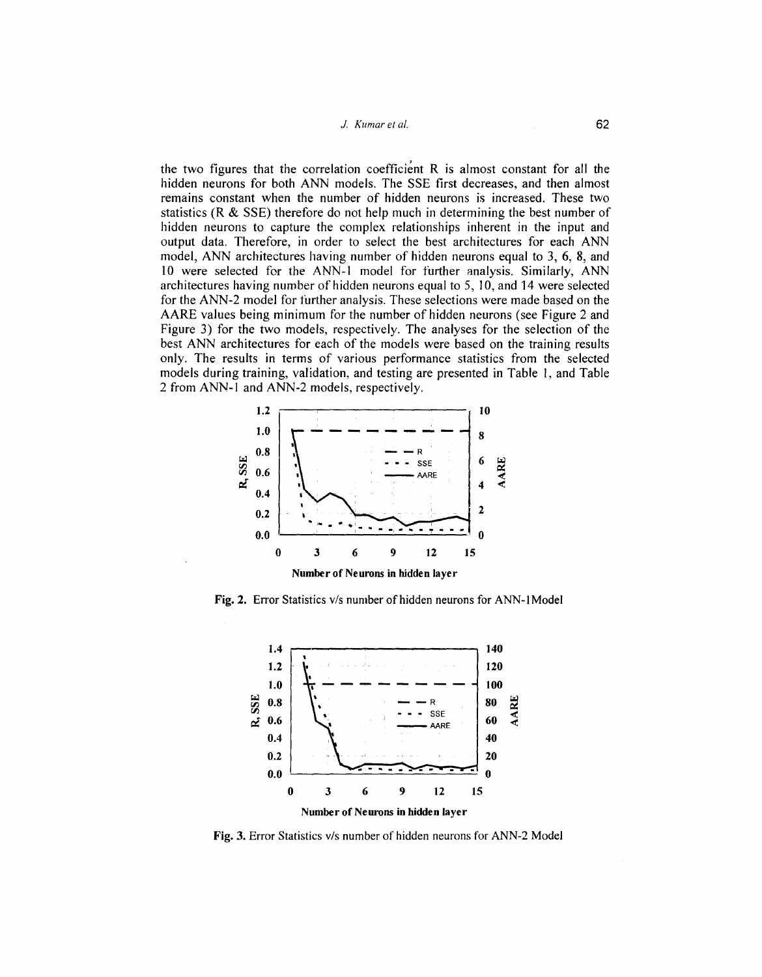#### *1. Kumar et al.* 62

the two figures that the correlation coefficient  $R$  is almost constant for all the hidden neurons for both ANN models. The SSE first decreases, and then almost remains constant when the number of hidden neurons is increased. These two statistics (R & SSE) therefore do not help much in determining the best number of hidden neurons to capture the complex relationships inherent in the input and output data. Therefore, in order to select the best architectures for each ANN model, ANN architectures having number of hidden neurons equal to 3, 6, 8, and 10 were selected for the ANN-I model for further analysis. Similarly, ANN architectures having number of hidden neurons equal to 5, 10, and 14 were selected for the ANN-2 model for further analysis. These selections were made based on the AARE values being minimum for the number of hidden neurons (see Figure 2 and Figure 3) for the two models, respectively. The analyses for the selection of the best ANN architectures for each of the models were based on the training results only. The results in terms of various performance statistics from the selected models during training, validation, and testing are presented in Table 1, and Table 2 from ANN-I and ANN-2 models, respectively.



Fig. 2. Error Statistics v/s number of hidden neurons for ANN-1Model



Fig. 3. Error Statistics v/s number of hidden neurons for ANN-2 Model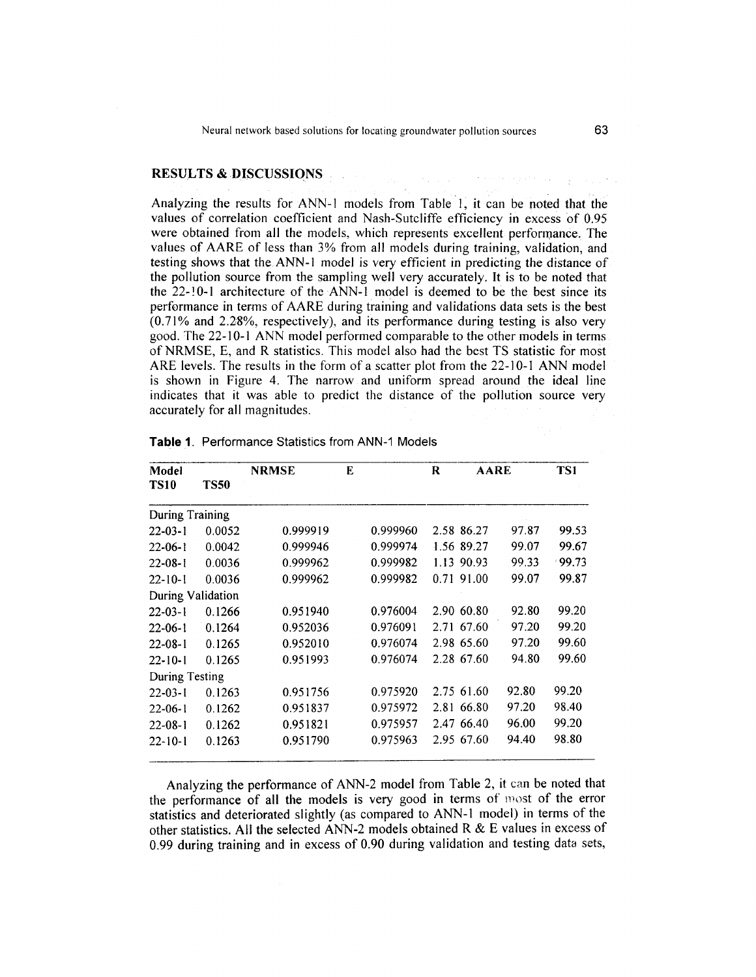Neural network based solutions for locating groundwater pollution sources 63

# RESULTS & DISCUSSIONS

Analyzing the results for ANN-I models from Table I, it can be noted that the values of correlation coefficient and Nash-Sutcliffe efficiency in excess of 0.95 were obtained from all the models, which represents excellent performance. The values of AARE of less than 3% from all models during training, validation, and testing shows that the. ANN-I model is very efficient in predicting the distance of the pollution source from the sampling well very accurately. It is to be noted that the 22-! 0-1 architecture of the ANN-I model is deemed to be the best since its performance in terms of AARE during training and validations data sets is the best  $(0.71\%$  and 2.28%, respectively), and its performance during testing is also very good. The 22-10-1 ANN model performed comparable to the other models in terms of NRMSE, E, and R statistics. This model also had the best TS statistic for most ARE levels. The results in the form of a scatter plot from the 22-10-1 ANN model is shown in Figure 4. The narrow and uniform spread around the ideal line indicates that it was able to predict the distance of the pollution source very accurately for all magnitudes.

| Model<br><b>TS10</b> |             | <b>NRMSE</b> | E |          | R | <b>AARE</b> |       | TS1      |
|----------------------|-------------|--------------|---|----------|---|-------------|-------|----------|
|                      | <b>TS50</b> |              |   |          |   |             |       |          |
| During Training      |             |              |   |          |   |             |       |          |
| $22 - 03 - 1$        | 0.0052      | 0.999919     |   | 0.999960 |   | 2.58 86.27  | 97.87 | 99.53    |
| $22 - 06 - 1$        | 0.0042      | 0.999946     |   | 0.999974 |   | 1.56 89.27  | 99.07 | 99.67    |
| $22 - 08 - 1$        | 0.0036      | 0.999962     |   | 0.999982 |   | 1.13 90.93  | 99.33 | $-99.73$ |
| $22 - 10 - 1$        | 0.0036      | 0.999962     |   | 0.999982 |   | 0.71 91.00  | 99.07 | 99.87    |
| During Validation    |             |              |   |          |   |             |       |          |
| $22 - 03 - 1$        | 0.1266      | 0.951940     |   | 0.976004 |   | 2.90 60.80  | 92.80 | 99.20    |
| $22 - 06 - 1$        | 0.1264      | 0.952036     |   | 0.976091 |   | 2.71 67.60  | 97.20 | 99.20    |
| $22 - 08 - 1$        | 0.1265      | 0.952010     |   | 0.976074 |   | 2.98 65.60  | 97.20 | 99.60    |
| $22 - 10 - 1$        | 0.1265      | 0.951993     |   | 0.976074 |   | 2.28 67.60  | 94.80 | 99.60    |
| During Testing       |             |              |   |          |   |             |       |          |
| $22 - 03 - 1$        | 0.1263      | 0.951756     |   | 0.975920 |   | 2.75 61.60  | 92.80 | 99.20    |
| $22 - 06 - 1$        | 0.1262      | 0.951837     |   | 0.975972 |   | 2.81 66.80  | 97.20 | 98.40    |
| $22 - 08 - 1$        | 0.1262      | 0.951821     |   | 0.975957 |   | 2.47 66.40  | 96.00 | 99.20    |
| $22 - 10 - 1$        | 0.1263      | 0.951790     |   | 0.975963 |   | 2.95 67.60  | 94.40 | 98.80    |

**Table** 1. Performance Statistics from ANN-1 Models

Analyzing the performance of ANN-2 model from Table 2, it can be noted that the performance of all the models is very good in terms of most of the error statistics and deteriorated slightly (as compared to ANN-I model) in terms of the other statistics. All the selected ANN-2 models obtained R & E values in excess of 0.99 during training and in excess of 0.90 during validation and testing data sets,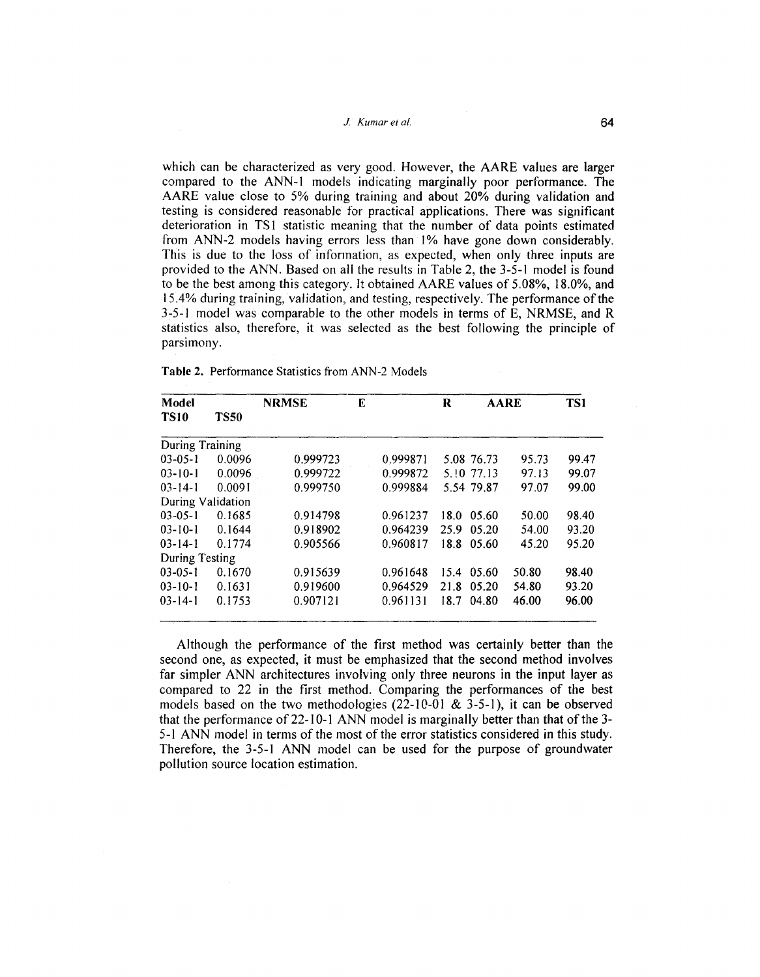#### J Kumaret af. 64

which can be characterized as very good. However, the AARE values are larger compared to the ANN-I models indicating marginally poor performance. The AARE value close to 5% during training and about 20% during validation and testing is considered reasonable for practical applications. There was significant deterioration in TS1 statistic meaning that the number of data points estimated from ANN-2 models having errors less than 1% have gone down considerably. This is due to the loss of information, as expected, when only three inputs are provided to the ANN. Based on all the results in Table 2, the 3-5-1 model is found to be the best among this category. It obtained AARE values of 5.08%, 18.0%, and 15.4% during training, validation, and testing, respectively. The performance of the 3-5-1 model was comparable to the other models in terms of E, NRMSE, and R statistics also, therefore, it was selected as the best following the principle of parsimony.

| <b>Table 2.</b> Performance Statistics from ANN-2 Models |
|----------------------------------------------------------|
|----------------------------------------------------------|

| Model<br><b>TS10</b> | <b>TS50</b> | <b>NRMSE</b> | E |          | R    | <b>AARE</b> |       | TS1   |  |
|----------------------|-------------|--------------|---|----------|------|-------------|-------|-------|--|
|                      |             |              |   |          |      |             |       |       |  |
| During Training      |             |              |   |          |      |             |       |       |  |
| $03 - 05 - 1$        | 0.0096      | 0.999723     |   | 0.999871 |      | 5.08 76.73  | 95.73 | 99.47 |  |
| $03 - 10 - 1$        | 0.0096      | 0.999722     |   | 0.999872 |      | 5.10 77.13  | 97.13 | 99.07 |  |
| $03 - 14 - 1$        | 0.0091      | 0.999750     |   | 0.999884 |      | 5.54 79.87  | 97.07 | 99.00 |  |
| During Validation    |             |              |   |          |      |             |       |       |  |
| $03 - 05 - 1$        | 0.1685      | 0.914798     |   | 0.961237 | 18.0 | 05.60       | 50.00 | 98.40 |  |
| $03 - 10 - 1$        | 0.1644      | 0.918902     |   | 0.964239 | 25.9 | 05.20       | 54.00 | 93.20 |  |
| $03 - 14 - 1$        | 0.1774      | 0.905566     |   | 0.960817 | 18.8 | 05.60       | 45.20 | 95.20 |  |
| During Testing       |             |              |   |          |      |             |       |       |  |
| $03 - 05 - 1$        | 0.1670      | 0.915639     |   | 0.961648 | 15.4 | 05.60       | 50.80 | 98.40 |  |
| $03 - 10 - 1$        | 0.1631      | 0.919600     |   | 0.964529 | 21.8 | 05.20       | 54.80 | 93.20 |  |
| $03 - 14 - 1$        | 0.1753      | 0.907121     |   | 0.961131 | 18.7 | 04.80       | 46.00 | 96.00 |  |

Although the performance of the first method was certainly better than the second one, as expected, it must be emphasized that the second method involves far simpler ANN architectures involving only three neurons in the input layer as compared to 22 in the first method. Comparing the performances of the best models based on the two methodologies  $(22-10-01 \& 3-5-1)$ , it can be observed that the performance of 22-10-1 ANN model is marginally better than that of the 3-5-1 ANN model in terms of the most of the error statistics considered in this study. Therefore, the 3-5-1 ANN model can be used for the purpose of groundwater pollution source location estimation.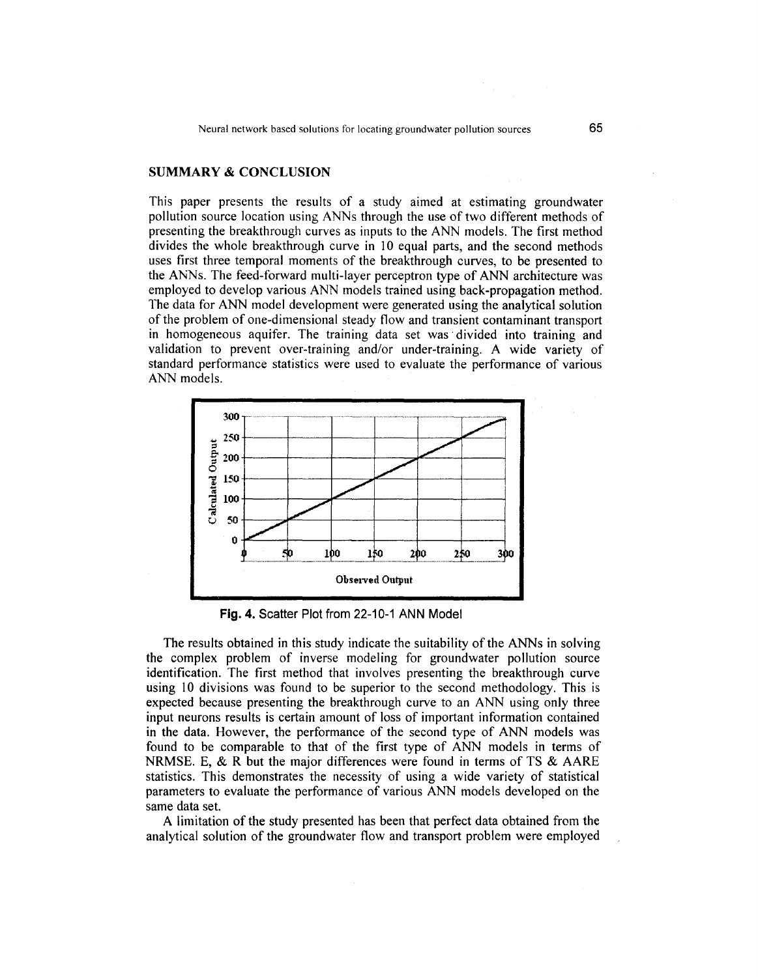# SUMMARY & CONCLUSION

This paper presents the results of a study aimed at estimating groundwater pollution source location using ANNs through the use of two different methods of presenting the breakthrough curves as inputs to the ANN models. The first method divides the whole breakthrough curve in 10 equal parts, and the second methods uses first three temporal moments of the breakthrough curves, to be presented to the ANNs. The feed-forward multi-layer perceptron type of ANN architecture was employed to develop various ANN models trained using back-propagation method. The data for ANN model development were generated using the analytical solution of the problem of one-dimensional steady flow and transient contaminant transport in homogeneous aquifer. The training data set was' divided into training and validation to prevent over-training and/or under-training. A wide variety of standard performance statistics were used to evaluate the performance of various ANN models.



Fig. 4. Scatter Plot from 22-10-1 ANN Model

The results obtained in this study indicate the suitability of the ANNs in solving the complex problem of inverse modeling for groundwater pollution source identification. The first method that involves presenting the breakthrough curve using 10 divisions was found to be superior to the second methodology. This is expected because presenting the breakthrough curve to an ANN using only three input neurons results is certain amount of loss of important information contained in the data. However, the performance of the second type of ANN models was found to be comparable to that of the first type of ANN models in terms of NRMSE. E, & R but the major differences were found in terms of TS & AARE statistics. This demonstrates the necessity of using a wide variety of statistical parameters to evaluate the performance of various ANN models developed on the same data set.

A limitation of the study presented has been that perfect data obtained from the analytical solution of the groundwater flow and transport problem were employed